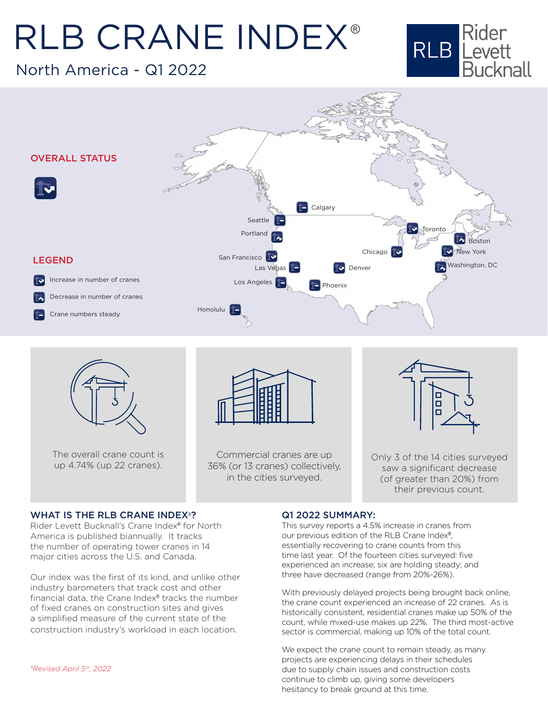# RLB CRANE INDEX ®

North America - Q1 2022







The overall crane count is up 4.74% (up 22 cranes).



Commercial cranes are up 36% (or 13 cranes) collectively, in the cities surveyed.



Only 3 of the 14 cities surveyed saw a significant decrease (of greater than 20%) from their previous count.

#### WHAT IS THE RLB CRANE INDEX®?

Rider Levett Bucknall's Crane Index® for North America is published biannually. It tracks the number of operating tower cranes in 14 major cities across the U.S. and Canada.

Our index was the first of its kind, and unlike other industry barometers that track cost and other financial data, the Crane Index® tracks the number of fixed cranes on construction sites and gives a simplified measure of the current state of the construction industry's workload in each location.

#### Q1 2022 SUMMARY:

This survey reports a 4.5% increase in cranes from our previous edition of the RLB Crane Index®, essentially recovering to crane counts from this time last year. Of the fourteen cities surveyed: five experienced an increase; six are holding steady; and three have decreased (range from 20%-26%).

With previously delayed projects being brought back online, the crane count experienced an increase of 22 cranes. As is historically consistent, residential cranes make up 50% of the count, while mixed-use makes up 22%. The third most-active sector is commercial, making up 10% of the total count.

We expect the crane count to remain steady, as many projects are experiencing delays in their schedules due to supply chain issues and construction costs continue to climb up, giving some developers hesitancy to break ground at this time.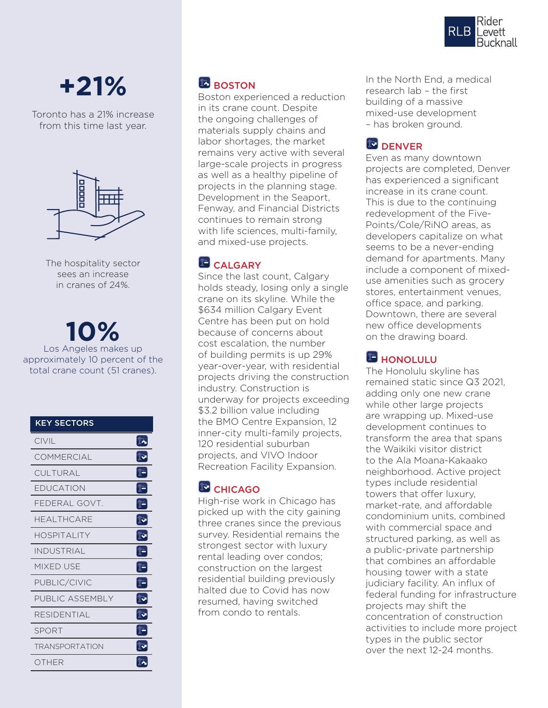

# **+21%**

Toronto has a 21% increase from this time last year.



The hospitality sector sees an increase in cranes of 24%.

**10%** Los Angeles makes up approximately 10 percent of the total crane count (51 cranes).

| <b>KEY SECTORS</b>    |                                                       |
|-----------------------|-------------------------------------------------------|
| CIVIL                 | Ī~                                                    |
| COMMERCIAL            | $\bar{\mathbb{F}}$                                    |
| CULTURAL              | $\mathbb{P}$                                          |
| EDUCATION             | T-                                                    |
| FEDERAL GOVT.         | Þ                                                     |
| <b>HFAI THCARF</b>    | $\mathbb{F}$                                          |
| HOSPITALITY           | ু                                                     |
| <b>INDUSTRIAL</b>     | Þ                                                     |
| <b>MIXED USE</b>      | Þ                                                     |
| PUBLIC/CIVIC          | Þ                                                     |
| PUBLIC ASSEMBLY       | $\mathbb{D}% _{T}=\mathbb{C}^{n}\times\mathbb{C}^{n}$ |
| RESIDENTIAL           | ি                                                     |
| <b>SPORT</b>          | 1-                                                    |
| <b>TRANSPORTATION</b> | ∏⊽                                                    |
| OTHER                 | $\mathbb{Z}$                                          |

# **BOSTON**

Boston experienced a reduction in its crane count. Despite the ongoing challenges of materials supply chains and labor shortages, the market remains very active with several large-scale projects in progress as well as a healthy pipeline of projects in the planning stage. Development in the Seaport, Fenway, and Financial Districts continues to remain strong with life sciences, multi-family, and mixed-use projects.

# **CALGARY**

Since the last count, Calgary holds steady, losing only a single crane on its skyline. While the \$634 million Calgary Event Centre has been put on hold because of concerns about cost escalation, the number of building permits is up 29% year-over-year, with residential projects driving the construction industry. Construction is underway for projects exceeding \$3.2 billion value including the BMO Centre Expansion, 12 inner-city multi-family projects, 120 residential suburban projects, and VIVO Indoor Recreation Facility Expansion.

# **ED** CHICAGO

High-rise work in Chicago has picked up with the city gaining three cranes since the previous survey. Residential remains the strongest sector with luxury rental leading over condos; construction on the largest residential building previously halted due to Covid has now resumed, having switched from condo to rentals.

In the North End, a medical research lab – the first building of a massive mixed-use development – has broken ground.

# **DENVER**

Even as many downtown projects are completed, Denver has experienced a significant increase in its crane count. This is due to the continuing redevelopment of the Five-Points/Cole/RiNO areas, as developers capitalize on what seems to be a never-ending demand for apartments. Many include a component of mixeduse amenities such as grocery stores, entertainment venues, office space, and parking. Downtown, there are several new office developments on the drawing board.

# **HONOLULU**

The Honolulu skyline has remained static since Q3 2021, adding only one new crane while other large projects are wrapping up. Mixed-use development continues to transform the area that spans the Waikiki visitor district to the Ala Moana-Kakaako neighborhood. Active project types include residential towers that offer luxury, market-rate, and affordable condominium units, combined with commercial space and structured parking, as well as a public-private partnership that combines an affordable housing tower with a state judiciary facility. An influx of federal funding for infrastructure projects may shift the concentration of construction activities to include more project types in the public sector over the next 12-24 months.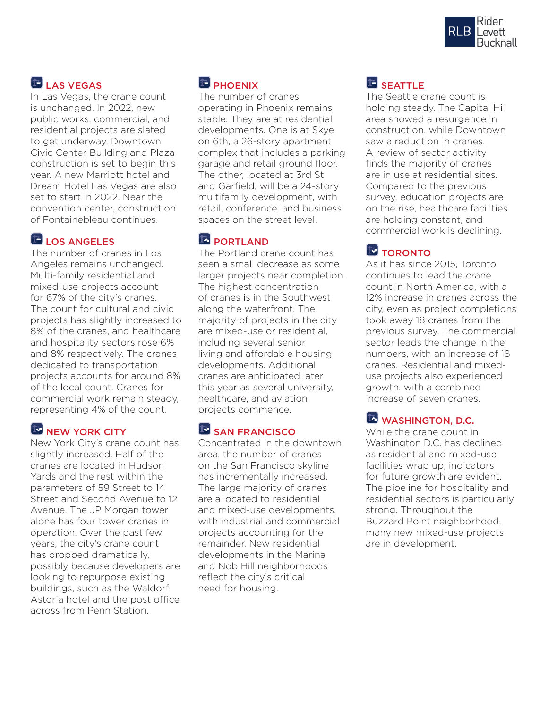

# **LAS VEGAS**

In Las Vegas, the crane count is unchanged. In 2022, new public works, commercial, and residential projects are slated to get underway. Downtown Civic Center Building and Plaza construction is set to begin this year. A new Marriott hotel and Dream Hotel Las Vegas are also set to start in 2022. Near the convention center, construction of Fontainebleau continues.

## LOS ANGELES

The number of cranes in Los Angeles remains unchanged. Multi-family residential and mixed-use projects account for 67% of the city's cranes. The count for cultural and civic projects has slightly increased to 8% of the cranes, and healthcare and hospitality sectors rose 6% and 8% respectively. The cranes dedicated to transportation projects accounts for around 8% of the local count. Cranes for commercial work remain steady, representing 4% of the count.

#### NEW YORK CITY

New York City's crane count has slightly increased. Half of the cranes are located in Hudson Yards and the rest within the parameters of 59 Street to 14 Street and Second Avenue to 12 Avenue. The JP Morgan tower alone has four tower cranes in operation. Over the past few years, the city's crane count has dropped dramatically, possibly because developers are looking to repurpose existing buildings, such as the Waldorf Astoria hotel and the post office across from Penn Station.

# **PHOENIX**

The number of cranes operating in Phoenix remains stable. They are at residential developments. One is at Skye on 6th, a 26-story apartment complex that includes a parking garage and retail ground floor. The other, located at 3rd St and Garfield, will be a 24-story multifamily development, with retail, conference, and business spaces on the street level.

#### **PORTLAND**

The Portland crane count has seen a small decrease as some larger projects near completion. The highest concentration of cranes is in the Southwest along the waterfront. The majority of projects in the city are mixed-use or residential, including several senior living and affordable housing developments. Additional cranes are anticipated later this year as several university, healthcare, and aviation projects commence.

#### SAN FRANCISCO

Concentrated in the downtown area, the number of cranes on the San Francisco skyline has incrementally increased. The large majority of cranes are allocated to residential and mixed-use developments, with industrial and commercial projects accounting for the remainder. New residential developments in the Marina and Nob Hill neighborhoods reflect the city's critical need for housing.

# **SEATTLE**

The Seattle crane count is holding steady. The Capital Hill area showed a resurgence in construction, while Downtown saw a reduction in cranes. A review of sector activity finds the majority of cranes are in use at residential sites. Compared to the previous survey, education projects are on the rise, healthcare facilities are holding constant, and commercial work is declining.

# **TORONTO**

As it has since 2015, Toronto continues to lead the crane count in North America, with a 12% increase in cranes across the city, even as project completions took away 18 cranes from the previous survey. The commercial sector leads the change in the numbers, with an increase of 18 cranes. Residential and mixeduse projects also experienced growth, with a combined increase of seven cranes.

# WASHINGTON, D.C.

While the crane count in Washington D.C. has declined as residential and mixed-use facilities wrap up, indicators for future growth are evident. The pipeline for hospitality and residential sectors is particularly strong. Throughout the Buzzard Point neighborhood, many new mixed-use projects are in development.